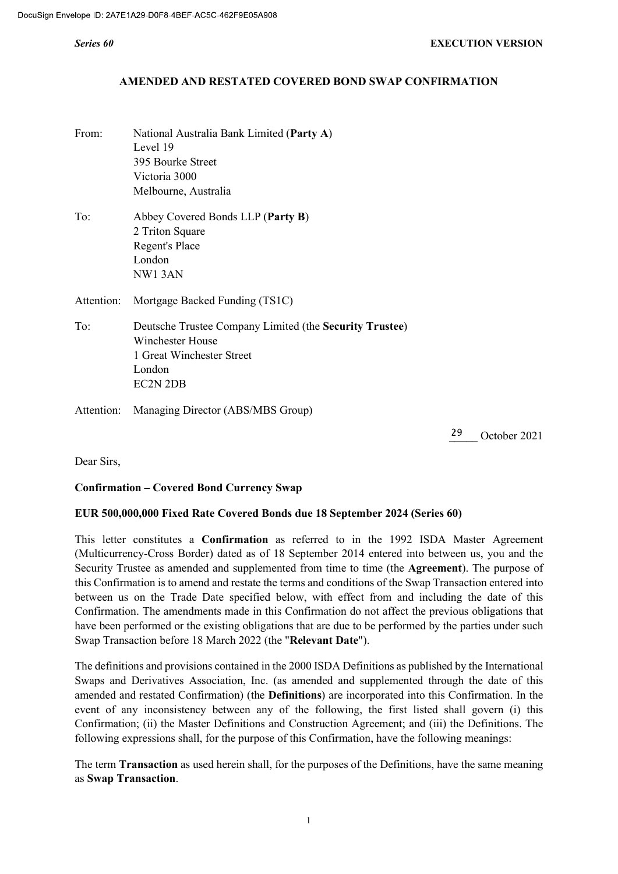### AMENDED AND RESTATED COVERED BOND SWAP CONFIRMATION

From: National Australia Bank Limited (Party A) Level 19 395 Bourke Street Victoria 3000 Melbourne, Australia To: Abbey Covered Bonds LLP (Party B) 2 Triton Square Regent's Place London NW1 3AN Attention: Mortgage Backed Funding (TS1C) To: Deutsche Trustee Company Limited (the Security Trustee) Winchester House 1 Great Winchester Street London EC2N 2DB Attention: Managing Director (ABS/MBS Group)

29 October 2021

Dear Sirs,

### Confirmation – Covered Bond Currency Swap

### EUR 500,000,000 Fixed Rate Covered Bonds due 18 September 2024 (Series 60)

This letter constitutes a Confirmation as referred to in the 1992 ISDA Master Agreement (Multicurrency-Cross Border) dated as of 18 September 2014 entered into between us, you and the Security Trustee as amended and supplemented from time to time (the Agreement). The purpose of this Confirmation is to amend and restate the terms and conditions of the Swap Transaction entered into between us on the Trade Date specified below, with effect from and including the date of this Confirmation. The amendments made in this Confirmation do not affect the previous obligations that have been performed or the existing obligations that are due to be performed by the parties under such Swap Transaction before 18 March 2022 (the "Relevant Date").

The definitions and provisions contained in the 2000 ISDA Definitions as published by the International Swaps and Derivatives Association, Inc. (as amended and supplemented through the date of this amended and restated Confirmation) (the Definitions) are incorporated into this Confirmation. In the event of any inconsistency between any of the following, the first listed shall govern (i) this Confirmation; (ii) the Master Definitions and Construction Agreement; and (iii) the Definitions. The following expressions shall, for the purpose of this Confirmation, have the following meanings:

The term Transaction as used herein shall, for the purposes of the Definitions, have the same meaning as Swap Transaction.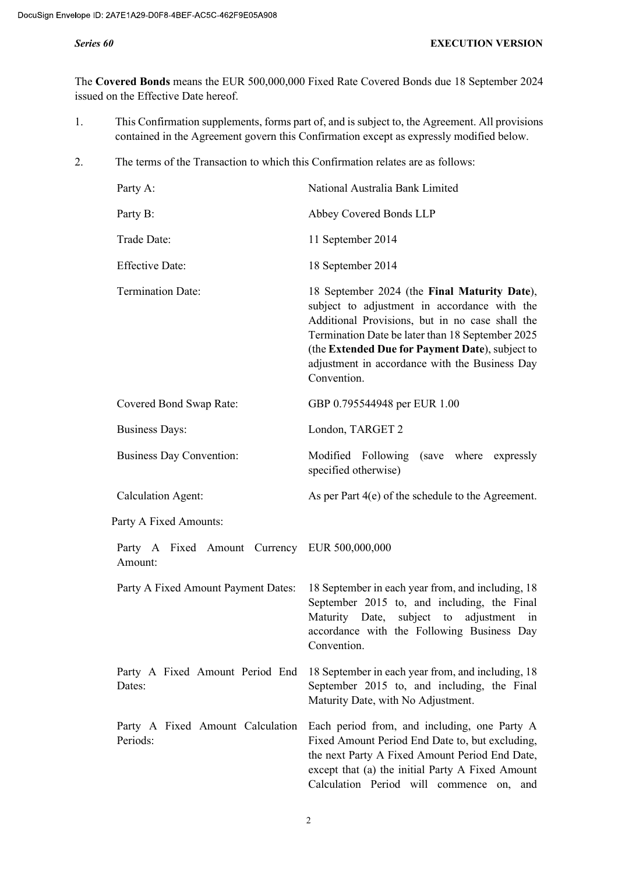The Covered Bonds means the EUR 500,000,000 Fixed Rate Covered Bonds due 18 September 2024 issued on the Effective Date hereof.

- 1. This Confirmation supplements, forms part of, and is subject to, the Agreement. All provisions contained in the Agreement govern this Confirmation except as expressly modified below.
- 2. The terms of the Transaction to which this Confirmation relates are as follows:

| Party A:                                                 | National Australia Bank Limited                                                                                                                                                                                                                                                                                         |  |  |  |
|----------------------------------------------------------|-------------------------------------------------------------------------------------------------------------------------------------------------------------------------------------------------------------------------------------------------------------------------------------------------------------------------|--|--|--|
| Party B:                                                 | Abbey Covered Bonds LLP                                                                                                                                                                                                                                                                                                 |  |  |  |
| Trade Date:                                              | 11 September 2014                                                                                                                                                                                                                                                                                                       |  |  |  |
| <b>Effective Date:</b>                                   | 18 September 2014                                                                                                                                                                                                                                                                                                       |  |  |  |
| <b>Termination Date:</b>                                 | 18 September 2024 (the Final Maturity Date),<br>subject to adjustment in accordance with the<br>Additional Provisions, but in no case shall the<br>Termination Date be later than 18 September 2025<br>(the Extended Due for Payment Date), subject to<br>adjustment in accordance with the Business Day<br>Convention. |  |  |  |
| Covered Bond Swap Rate:                                  | GBP 0.795544948 per EUR 1.00                                                                                                                                                                                                                                                                                            |  |  |  |
| <b>Business Days:</b>                                    | London, TARGET 2                                                                                                                                                                                                                                                                                                        |  |  |  |
| <b>Business Day Convention:</b>                          | where expressly<br>Modified Following (save<br>specified otherwise)                                                                                                                                                                                                                                                     |  |  |  |
| <b>Calculation Agent:</b>                                | As per Part $4(e)$ of the schedule to the Agreement.                                                                                                                                                                                                                                                                    |  |  |  |
| Party A Fixed Amounts:                                   |                                                                                                                                                                                                                                                                                                                         |  |  |  |
| Party A Fixed Amount Currency EUR 500,000,000<br>Amount: |                                                                                                                                                                                                                                                                                                                         |  |  |  |
| Party A Fixed Amount Payment Dates:                      | 18 September in each year from, and including, 18<br>September 2015 to, and including, the Final<br>Maturity Date, subject to adjustment<br>in<br>accordance with the Following Business Day<br>Convention.                                                                                                             |  |  |  |
| Party A Fixed Amount Period End<br>Dates:                | 18 September in each year from, and including, 18<br>September 2015 to, and including, the Final<br>Maturity Date, with No Adjustment.                                                                                                                                                                                  |  |  |  |
| Party A Fixed Amount Calculation<br>Periods:             | Each period from, and including, one Party A<br>Fixed Amount Period End Date to, but excluding,<br>the next Party A Fixed Amount Period End Date,<br>except that (a) the initial Party A Fixed Amount<br>Calculation Period will commence on, and                                                                       |  |  |  |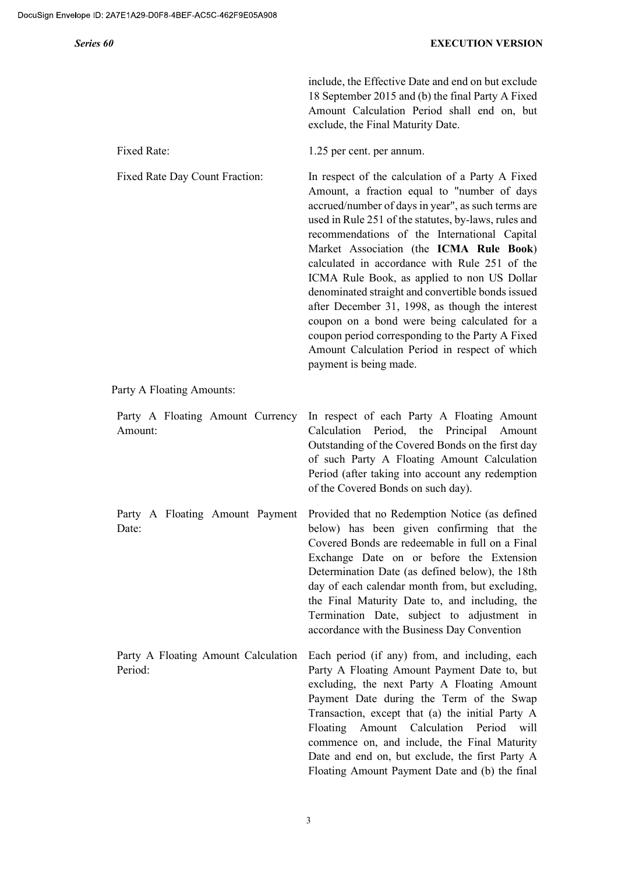include, the Effective Date and end on but exclude 18 September 2015 and (b) the final Party A Fixed Amount Calculation Period shall end on, but exclude, the Final Maturity Date.

recommendations of the International Capital Market Association (the ICMA Rule Book) calculated in accordance with Rule 251 of the ICMA Rule Book, as applied to non US Dollar denominated straight and convertible bonds issued after December 31, 1998, as though the interest coupon on a bond were being calculated for a coupon period corresponding to the Party A Fixed Amount Calculation Period in respect of which

Date and end on, but exclude, the first Party A Floating Amount Payment Date and (b) the final

Fixed Rate: 1.25 per cent. per annum.

Fixed Rate Day Count Fraction: In respect of the calculation of a Party A Fixed Amount, a fraction equal to "number of days accrued/number of days in year", as such terms are used in Rule 251 of the statutes, by-laws, rules and

Party A Floating Amounts:

Party A Floating Amount Currency Amount: In respect of each Party A Floating Amount Calculation Period, the Principal Amount Outstanding of the Covered Bonds on the first day of such Party A Floating Amount Calculation Period (after taking into account any redemption of the Covered Bonds on such day). Party A Floating Amount Payment Date: Provided that no Redemption Notice (as defined below) has been given confirming that the Covered Bonds are redeemable in full on a Final Exchange Date on or before the Extension Determination Date (as defined below), the 18th day of each calendar month from, but excluding, the Final Maturity Date to, and including, the Termination Date, subject to adjustment in accordance with the Business Day Convention Party A Floating Amount Calculation Period: Each period (if any) from, and including, each Party A Floating Amount Payment Date to, but excluding, the next Party A Floating Amount Payment Date during the Term of the Swap Transaction, except that (a) the initial Party A Floating Amount Calculation Period will commence on, and include, the Final Maturity

payment is being made.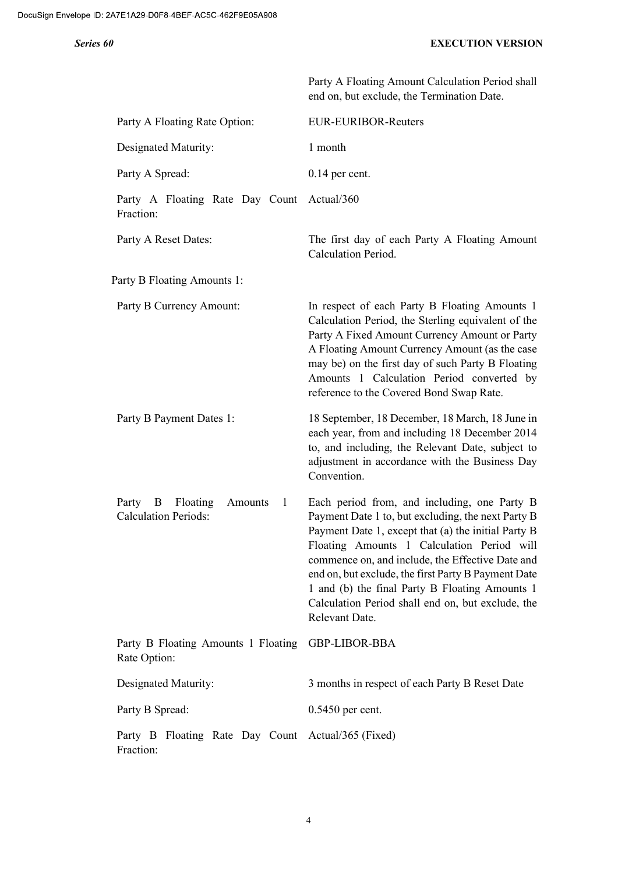|                                                                               | Party A Floating Amount Calculation Period shall<br>end on, but exclude, the Termination Date.                                                                                                                                                                                                                                                                                                                                              |
|-------------------------------------------------------------------------------|---------------------------------------------------------------------------------------------------------------------------------------------------------------------------------------------------------------------------------------------------------------------------------------------------------------------------------------------------------------------------------------------------------------------------------------------|
| Party A Floating Rate Option:                                                 | EUR-EURIBOR-Reuters                                                                                                                                                                                                                                                                                                                                                                                                                         |
| Designated Maturity:                                                          | 1 month                                                                                                                                                                                                                                                                                                                                                                                                                                     |
| Party A Spread:                                                               | $0.14$ per cent.                                                                                                                                                                                                                                                                                                                                                                                                                            |
| Party A Floating Rate Day Count<br>Fraction:                                  | Actual/360                                                                                                                                                                                                                                                                                                                                                                                                                                  |
| Party A Reset Dates:                                                          | The first day of each Party A Floating Amount<br>Calculation Period.                                                                                                                                                                                                                                                                                                                                                                        |
| Party B Floating Amounts 1:                                                   |                                                                                                                                                                                                                                                                                                                                                                                                                                             |
| Party B Currency Amount:                                                      | In respect of each Party B Floating Amounts 1<br>Calculation Period, the Sterling equivalent of the<br>Party A Fixed Amount Currency Amount or Party<br>A Floating Amount Currency Amount (as the case<br>may be) on the first day of such Party B Floating<br>Amounts 1 Calculation Period converted by<br>reference to the Covered Bond Swap Rate.                                                                                        |
| Party B Payment Dates 1:                                                      | 18 September, 18 December, 18 March, 18 June in<br>each year, from and including 18 December 2014<br>to, and including, the Relevant Date, subject to<br>adjustment in accordance with the Business Day<br>Convention.                                                                                                                                                                                                                      |
| Party B<br>Floating<br>Amounts<br>$\mathbf{1}$<br><b>Calculation Periods:</b> | Each period from, and including, one Party B<br>Payment Date 1 to, but excluding, the next Party B<br>Payment Date 1, except that (a) the initial Party B<br>Floating Amounts 1 Calculation Period will<br>commence on, and include, the Effective Date and<br>end on, but exclude, the first Party B Payment Date<br>1 and (b) the final Party B Floating Amounts 1<br>Calculation Period shall end on, but exclude, the<br>Relevant Date. |
| Party B Floating Amounts 1 Floating<br>Rate Option:                           | GBP-LIBOR-BBA                                                                                                                                                                                                                                                                                                                                                                                                                               |
| Designated Maturity:                                                          | 3 months in respect of each Party B Reset Date                                                                                                                                                                                                                                                                                                                                                                                              |
| Party B Spread:                                                               | $0.5450$ per cent.                                                                                                                                                                                                                                                                                                                                                                                                                          |
| Party B Floating Rate Day Count<br>Fraction:                                  | Actual/365 (Fixed)                                                                                                                                                                                                                                                                                                                                                                                                                          |

4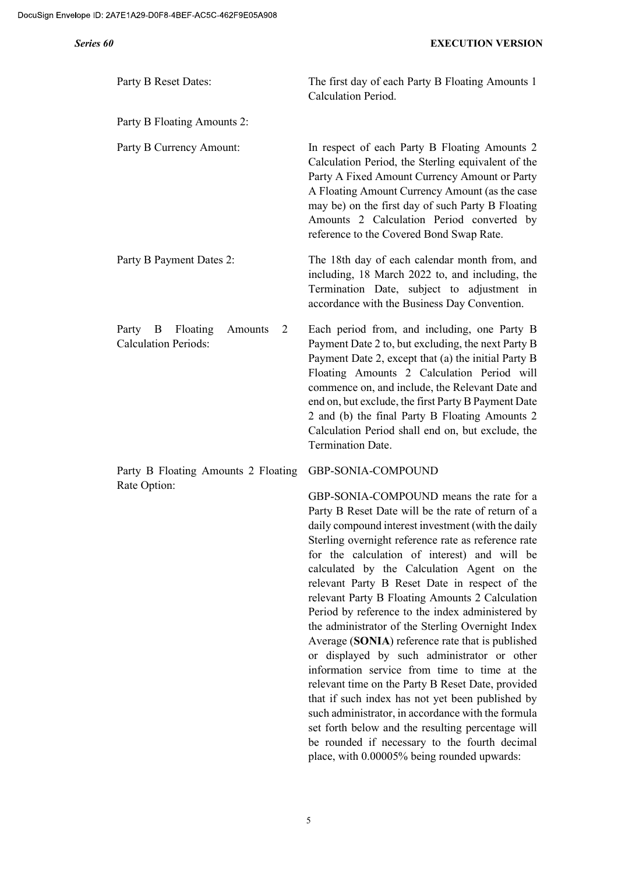| Party B Reset Dates:                                               | The first day of each Party B Floating Amounts 1<br>Calculation Period.                                                                                                                                                                                                                                                                                                                                                                                                                                               |
|--------------------------------------------------------------------|-----------------------------------------------------------------------------------------------------------------------------------------------------------------------------------------------------------------------------------------------------------------------------------------------------------------------------------------------------------------------------------------------------------------------------------------------------------------------------------------------------------------------|
| Party B Floating Amounts 2:                                        |                                                                                                                                                                                                                                                                                                                                                                                                                                                                                                                       |
| Party B Currency Amount:                                           | In respect of each Party B Floating Amounts 2<br>Calculation Period, the Sterling equivalent of the<br>Party A Fixed Amount Currency Amount or Party<br>A Floating Amount Currency Amount (as the case<br>may be) on the first day of such Party B Floating<br>Amounts 2 Calculation Period converted by<br>reference to the Covered Bond Swap Rate.                                                                                                                                                                  |
| Party B Payment Dates 2:                                           | The 18th day of each calendar month from, and<br>including, 18 March 2022 to, and including, the<br>Termination Date, subject to adjustment in<br>accordance with the Business Day Convention.                                                                                                                                                                                                                                                                                                                        |
| Party B<br>Floating<br>Amounts<br>2<br><b>Calculation Periods:</b> | Each period from, and including, one Party B<br>Payment Date 2 to, but excluding, the next Party B<br>Payment Date 2, except that (a) the initial Party B<br>Floating Amounts 2 Calculation Period will<br>commence on, and include, the Relevant Date and<br>end on, but exclude, the first Party B Payment Date<br>2 and (b) the final Party B Floating Amounts 2<br>Calculation Period shall end on, but exclude, the<br><b>Termination Date.</b>                                                                  |
| Party B Floating Amounts 2 Floating<br>Rate Option:                | GBP-SONIA-COMPOUND                                                                                                                                                                                                                                                                                                                                                                                                                                                                                                    |
|                                                                    | GBP-SONIA-COMPOUND means the rate for a<br>Party B Reset Date will be the rate of return of a<br>daily compound interest investment (with the daily<br>Sterling overnight reference rate as reference rate<br>for the calculation of interest) and will be<br>calculated by the Calculation Agent on the<br>relevant Party B Reset Date in respect of the<br>relevant Party B Floating Amounts 2 Calculation<br>Period by reference to the index administered by<br>the administrator of the Sterling Overnight Index |

Average (SONIA) reference rate that is published or displayed by such administrator or other information service from time to time at the relevant time on the Party B Reset Date, provided that if such index has not yet been published by such administrator, in accordance with the formula set forth below and the resulting percentage will be rounded if necessary to the fourth decimal place, with 0.00005% being rounded upwards: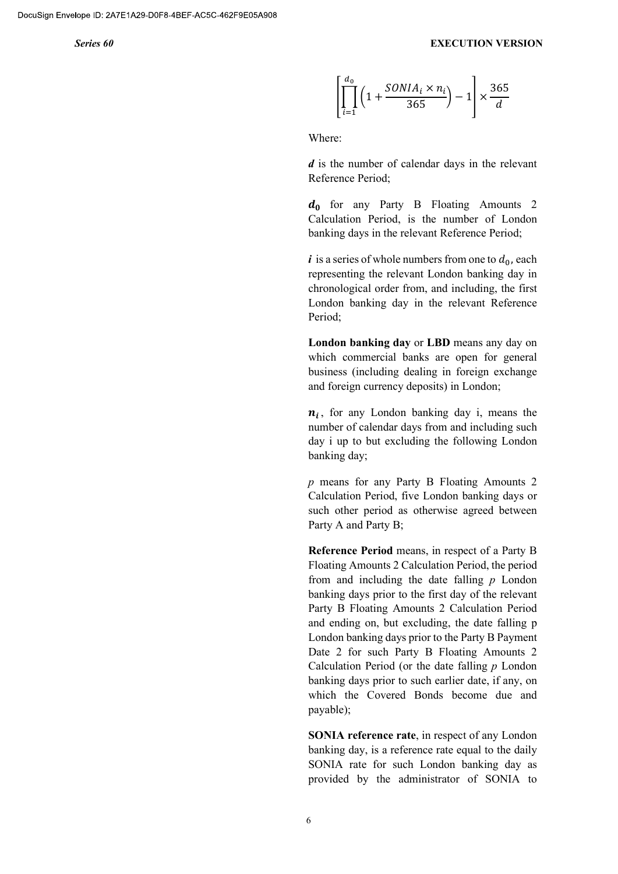$$
\left[\prod_{i=1}^{d_0} \left(1 + \frac{SONIA_i \times n_i}{365}\right) - 1\right] \times \frac{365}{d}
$$

Where:

 $d$  is the number of calendar days in the relevant Reference Period;

 $d_0$  for any Party B Floating Amounts 2 Calculation Period, is the number of London banking days in the relevant Reference Period;

 $i$  is a series of whole numbers from one to  $d_0$ , each representing the relevant London banking day in chronological order from, and including, the first London banking day in the relevant Reference Period;

London banking day or LBD means any day on which commercial banks are open for general business (including dealing in foreign exchange and foreign currency deposits) in London;

 $n_i$ , for any London banking day i, means the number of calendar days from and including such day i up to but excluding the following London banking day;

p means for any Party B Floating Amounts 2 Calculation Period, five London banking days or such other period as otherwise agreed between Party A and Party B;

Reference Period means, in respect of a Party B Floating Amounts 2 Calculation Period, the period from and including the date falling  $p$  London banking days prior to the first day of the relevant Party B Floating Amounts 2 Calculation Period and ending on, but excluding, the date falling p London banking days prior to the Party B Payment Date 2 for such Party B Floating Amounts 2 Calculation Period (or the date falling  $p$  London banking days prior to such earlier date, if any, on which the Covered Bonds become due and payable);

SONIA reference rate, in respect of any London banking day, is a reference rate equal to the daily SONIA rate for such London banking day as provided by the administrator of SONIA to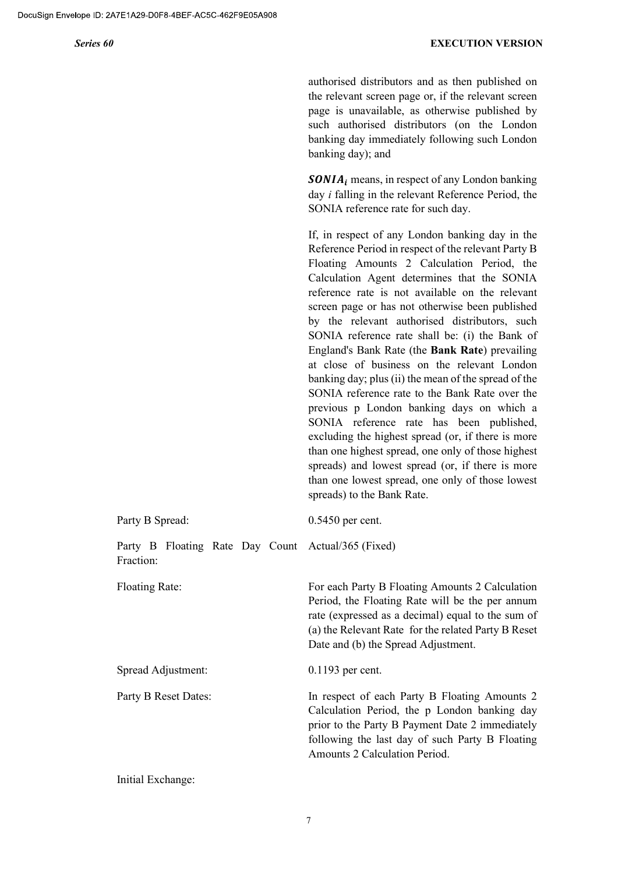authorised distributors and as then published on the relevant screen page or, if the relevant screen page is unavailable, as otherwise published by such authorised distributors (on the London banking day immediately following such London banking day); and

 $\boldsymbol{SONIA_i}$  means, in respect of any London banking day i falling in the relevant Reference Period, the SONIA reference rate for such day.

If, in respect of any London banking day in the Reference Period in respect of the relevant Party B Floating Amounts 2 Calculation Period, the Calculation Agent determines that the SONIA reference rate is not available on the relevant screen page or has not otherwise been published by the relevant authorised distributors, such SONIA reference rate shall be: (i) the Bank of England's Bank Rate (the Bank Rate) prevailing at close of business on the relevant London banking day; plus (ii) the mean of the spread of the SONIA reference rate to the Bank Rate over the previous p London banking days on which a SONIA reference rate has been published, excluding the highest spread (or, if there is more than one highest spread, one only of those highest spreads) and lowest spread (or, if there is more than one lowest spread, one only of those lowest spreads) to the Bank Rate.

| Party B Spread:                                                 | $0.5450$ per cent.                                                                                                                                                                                                                                    |
|-----------------------------------------------------------------|-------------------------------------------------------------------------------------------------------------------------------------------------------------------------------------------------------------------------------------------------------|
| Party B Floating Rate Day Count Actual/365 (Fixed)<br>Fraction: |                                                                                                                                                                                                                                                       |
| <b>Floating Rate:</b>                                           | For each Party B Floating Amounts 2 Calculation<br>Period, the Floating Rate will be the per annum<br>rate (expressed as a decimal) equal to the sum of<br>(a) the Relevant Rate for the related Party B Reset<br>Date and (b) the Spread Adjustment. |
| Spread Adjustment:                                              | $0.1193$ per cent.                                                                                                                                                                                                                                    |
| Party B Reset Dates:                                            | In respect of each Party B Floating Amounts 2<br>Calculation Period, the p London banking day<br>prior to the Party B Payment Date 2 immediately<br>following the last day of such Party B Floating<br>Amounts 2 Calculation Period.                  |

Initial Exchange: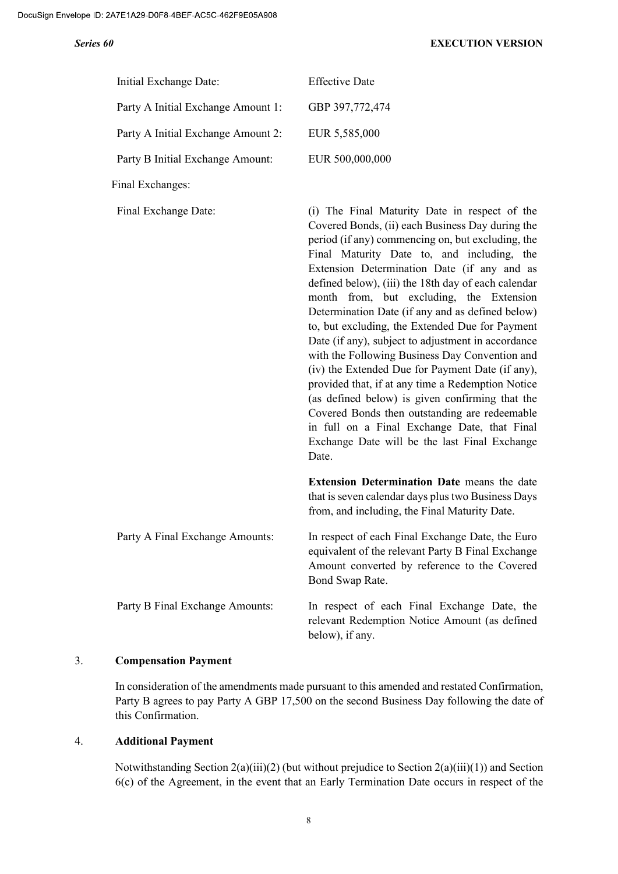| Initial Exchange Date:             | <b>Effective Date</b>                                                                                                                                                                                                                                                                                                                                                                                                                                                                                                                                                                                                                                                                                                                                                                                                                                                                        |
|------------------------------------|----------------------------------------------------------------------------------------------------------------------------------------------------------------------------------------------------------------------------------------------------------------------------------------------------------------------------------------------------------------------------------------------------------------------------------------------------------------------------------------------------------------------------------------------------------------------------------------------------------------------------------------------------------------------------------------------------------------------------------------------------------------------------------------------------------------------------------------------------------------------------------------------|
| Party A Initial Exchange Amount 1: | GBP 397,772,474                                                                                                                                                                                                                                                                                                                                                                                                                                                                                                                                                                                                                                                                                                                                                                                                                                                                              |
| Party A Initial Exchange Amount 2: | EUR 5,585,000                                                                                                                                                                                                                                                                                                                                                                                                                                                                                                                                                                                                                                                                                                                                                                                                                                                                                |
| Party B Initial Exchange Amount:   | EUR 500,000,000                                                                                                                                                                                                                                                                                                                                                                                                                                                                                                                                                                                                                                                                                                                                                                                                                                                                              |
| Final Exchanges:                   |                                                                                                                                                                                                                                                                                                                                                                                                                                                                                                                                                                                                                                                                                                                                                                                                                                                                                              |
| Final Exchange Date:               | (i) The Final Maturity Date in respect of the<br>Covered Bonds, (ii) each Business Day during the<br>period (if any) commencing on, but excluding, the<br>Final Maturity Date to, and including, the<br>Extension Determination Date (if any and as<br>defined below), (iii) the 18th day of each calendar<br>month from, but excluding, the Extension<br>Determination Date (if any and as defined below)<br>to, but excluding, the Extended Due for Payment<br>Date (if any), subject to adjustment in accordance<br>with the Following Business Day Convention and<br>(iv) the Extended Due for Payment Date (if any),<br>provided that, if at any time a Redemption Notice<br>(as defined below) is given confirming that the<br>Covered Bonds then outstanding are redeemable<br>in full on a Final Exchange Date, that Final<br>Exchange Date will be the last Final Exchange<br>Date. |
|                                    | <b>Extension Determination Date</b> means the date<br>that is seven calendar days plus two Business Days<br>from, and including, the Final Maturity Date.                                                                                                                                                                                                                                                                                                                                                                                                                                                                                                                                                                                                                                                                                                                                    |
| Party A Final Exchange Amounts:    | In respect of each Final Exchange Date, the Euro<br>equivalent of the relevant Party B Final Exchange<br>Amount converted by reference to the Covered<br>Bond Swap Rate.                                                                                                                                                                                                                                                                                                                                                                                                                                                                                                                                                                                                                                                                                                                     |
| Party B Final Exchange Amounts:    | In respect of each Final Exchange Date, the<br>relevant Redemption Notice Amount (as defined<br>below), if any.                                                                                                                                                                                                                                                                                                                                                                                                                                                                                                                                                                                                                                                                                                                                                                              |

### 3. Compensation Payment

In consideration of the amendments made pursuant to this amended and restated Confirmation, Party B agrees to pay Party A GBP 17,500 on the second Business Day following the date of this Confirmation.

### 4. Additional Payment

Notwithstanding Section 2(a)(iii)(2) (but without prejudice to Section 2(a)(iii)(1)) and Section 6(c) of the Agreement, in the event that an Early Termination Date occurs in respect of the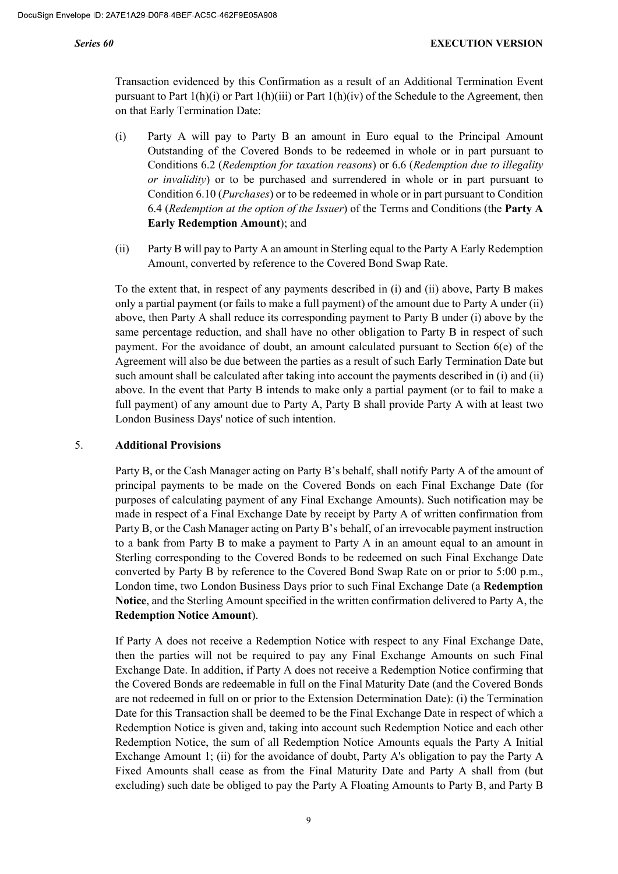Transaction evidenced by this Confirmation as a result of an Additional Termination Event pursuant to Part 1(h)(i) or Part 1(h)(iii) or Part 1(h)(iv) of the Schedule to the Agreement, then on that Early Termination Date:

- (i) Party A will pay to Party B an amount in Euro equal to the Principal Amount Outstanding of the Covered Bonds to be redeemed in whole or in part pursuant to Conditions 6.2 (Redemption for taxation reasons) or 6.6 (Redemption due to illegality or invalidity) or to be purchased and surrendered in whole or in part pursuant to Condition 6.10 (Purchases) or to be redeemed in whole or in part pursuant to Condition 6.4 (Redemption at the option of the Issuer) of the Terms and Conditions (the **Party A** Early Redemption Amount); and
- (ii) Party B will pay to Party A an amount in Sterling equal to the Party A Early Redemption Amount, converted by reference to the Covered Bond Swap Rate.

To the extent that, in respect of any payments described in (i) and (ii) above, Party B makes only a partial payment (or fails to make a full payment) of the amount due to Party A under (ii) above, then Party A shall reduce its corresponding payment to Party B under (i) above by the same percentage reduction, and shall have no other obligation to Party B in respect of such payment. For the avoidance of doubt, an amount calculated pursuant to Section 6(e) of the Agreement will also be due between the parties as a result of such Early Termination Date but such amount shall be calculated after taking into account the payments described in (i) and (ii) above. In the event that Party B intends to make only a partial payment (or to fail to make a full payment) of any amount due to Party A, Party B shall provide Party A with at least two London Business Days' notice of such intention.

### 5. Additional Provisions

Party B, or the Cash Manager acting on Party B's behalf, shall notify Party A of the amount of principal payments to be made on the Covered Bonds on each Final Exchange Date (for purposes of calculating payment of any Final Exchange Amounts). Such notification may be made in respect of a Final Exchange Date by receipt by Party A of written confirmation from Party B, or the Cash Manager acting on Party B's behalf, of an irrevocable payment instruction to a bank from Party B to make a payment to Party A in an amount equal to an amount in Sterling corresponding to the Covered Bonds to be redeemed on such Final Exchange Date converted by Party B by reference to the Covered Bond Swap Rate on or prior to 5:00 p.m., London time, two London Business Days prior to such Final Exchange Date (a Redemption Notice, and the Sterling Amount specified in the written confirmation delivered to Party A, the Redemption Notice Amount).

If Party A does not receive a Redemption Notice with respect to any Final Exchange Date, then the parties will not be required to pay any Final Exchange Amounts on such Final Exchange Date. In addition, if Party A does not receive a Redemption Notice confirming that the Covered Bonds are redeemable in full on the Final Maturity Date (and the Covered Bonds are not redeemed in full on or prior to the Extension Determination Date): (i) the Termination Date for this Transaction shall be deemed to be the Final Exchange Date in respect of which a Redemption Notice is given and, taking into account such Redemption Notice and each other Redemption Notice, the sum of all Redemption Notice Amounts equals the Party A Initial Exchange Amount 1; (ii) for the avoidance of doubt, Party A's obligation to pay the Party A Fixed Amounts shall cease as from the Final Maturity Date and Party A shall from (but excluding) such date be obliged to pay the Party A Floating Amounts to Party B, and Party B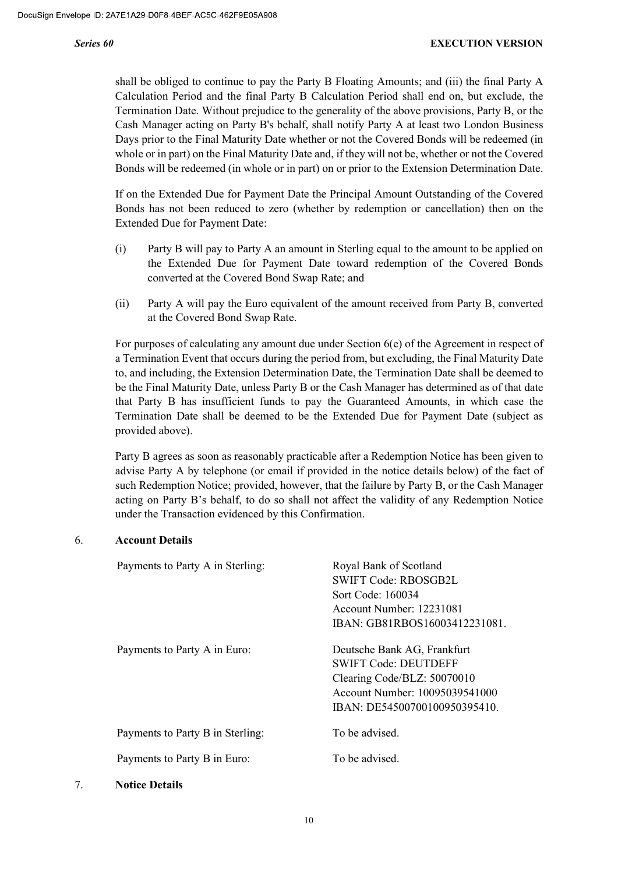shall be obliged to continue to pay the Party B Floating Amounts; and (iii) the final Party A Calculation Period and the final Party B Calculation Period shall end on, but exclude, the Termination Date. Without prejudice to the generality of the above provisions, Party B, or the Cash Manager acting on Party B's behalf, shall notify Party A at least two London Business Days prior to the Final Maturity Date whether or not the Covered Bonds will be redeemed (in whole or in part) on the Final Maturity Date and, if they will not be, whether or not the Covered Bonds will be redeemed (in whole or in part) on or prior to the Extension Determination Date.

If on the Extended Due for Payment Date the Principal Amount Outstanding of the Covered Bonds has not been reduced to zero (whether by redemption or cancellation) then on the Extended Due for Payment Date:

- (i) Party B will pay to Party A an amount in Sterling equal to the amount to be applied on the Extended Due for Payment Date toward redemption of the Covered Bonds converted at the Covered Bond Swap Rate; and
- (ii) Party A will pay the Euro equivalent of the amount received from Party B, converted at the Covered Bond Swap Rate.

For purposes of calculating any amount due under Section 6(e) of the Agreement in respect of a Termination Event that occurs during the period from, but excluding, the Final Maturity Date to, and including, the Extension Determination Date, the Termination Date shall be deemed to be the Final Maturity Date, unless Party B or the Cash Manager has determined as of that date that Party B has insufficient funds to pay the Guaranteed Amounts, in which case the Termination Date shall be deemed to be the Extended Due for Payment Date (subject as provided above).

Party B agrees as soon as reasonably practicable after a Redemption Notice has been given to advise Party A by telephone (or email if provided in the notice details below) of the fact of such Redemption Notice; provided, however, that the failure by Party B, or the Cash Manager acting on Party B's behalf, to do so shall not affect the validity of any Redemption Notice under the Transaction evidenced by this Confirmation.

### 6. Account Details

| Payments to Party A in Sterling: | Royal Bank of Scotland<br><b>SWIFT Code: RBOSGB2L</b><br>Sort Code: 160034<br>Account Number: 12231081<br>IBAN: GB81RBOS16003412231081.                      |
|----------------------------------|--------------------------------------------------------------------------------------------------------------------------------------------------------------|
| Payments to Party A in Euro:     | Deutsche Bank AG, Frankfurt<br><b>SWIFT Code: DEUTDEFF</b><br>Clearing Code/BLZ: 50070010<br>Account Number: 10095039541000<br>IBAN: DE54500700100950395410. |
| Payments to Party B in Sterling: | To be advised.                                                                                                                                               |
| Payments to Party B in Euro:     | To be advised.                                                                                                                                               |

7. Notice Details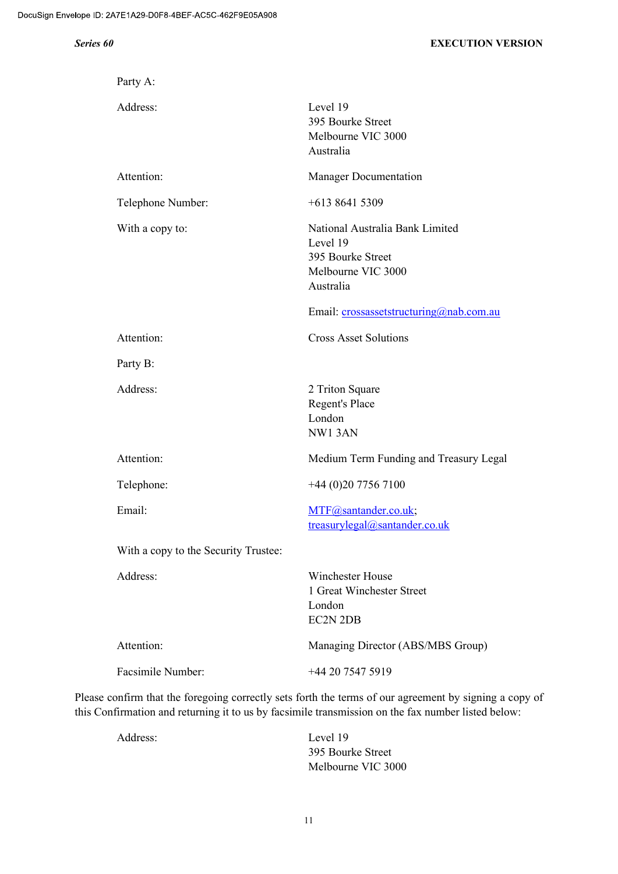| Party A:                             |                                                                                                     |
|--------------------------------------|-----------------------------------------------------------------------------------------------------|
| Address:                             | Level 19<br>395 Bourke Street<br>Melbourne VIC 3000<br>Australia                                    |
| Attention:                           | <b>Manager Documentation</b>                                                                        |
| Telephone Number:                    | $+61386415309$                                                                                      |
| With a copy to:                      | National Australia Bank Limited<br>Level 19<br>395 Bourke Street<br>Melbourne VIC 3000<br>Australia |
|                                      | Email: crossassetstructuring@nab.com.au                                                             |
| Attention:                           | <b>Cross Asset Solutions</b>                                                                        |
| Party B:                             |                                                                                                     |
| Address:                             | 2 Triton Square<br>Regent's Place<br>London<br>NW13AN                                               |
| Attention:                           | Medium Term Funding and Treasury Legal                                                              |
| Telephone:                           | +44 (0)20 7756 7100                                                                                 |
| Email:                               | MTF@santander.co.uk;<br>treasurylegal@santander.co.uk                                               |
| With a copy to the Security Trustee: |                                                                                                     |
| Address:                             | <b>Winchester House</b><br>1 Great Winchester Street<br>London<br><b>EC2N 2DB</b>                   |
| Attention:                           | Managing Director (ABS/MBS Group)                                                                   |
| <b>Facsimile Number:</b>             | +44 20 7547 5919                                                                                    |

Please confirm that the foregoing correctly sets forth the terms of our agreement by signing a copy of this Confirmation and returning it to us by facsimile transmission on the fax number listed below:

Address: Level 19 395 Bourke Street Melbourne VIC 3000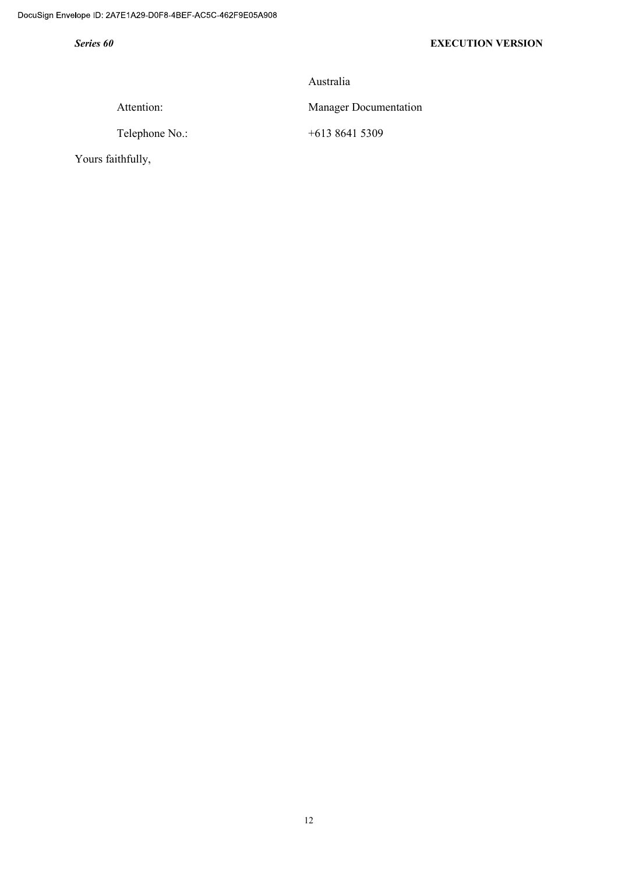Australia

Attention: Manager Documentation

Telephone No.: +613 8641 5309

Yours faithfully,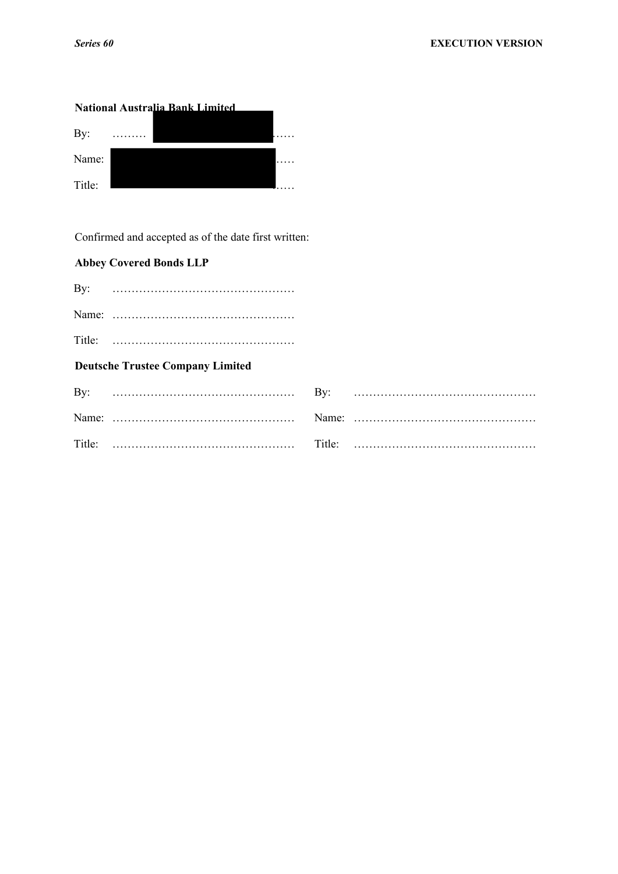# **National Australia Bank Limited** By: ……… …… Name: …… Title: <u>we are the set of the set of the set of the set of the set of the set of the set of the set of the set of the set of the set of the set of the set of the set of the set of the set of the set of the set of the set o</u>

Confirmed and accepted as of the date first written:

## **Abbey Covered Bonds LLP**

| <b>Deutsche Trustee Company Limited</b> |  |
|-----------------------------------------|--|
|                                         |  |
|                                         |  |
|                                         |  |